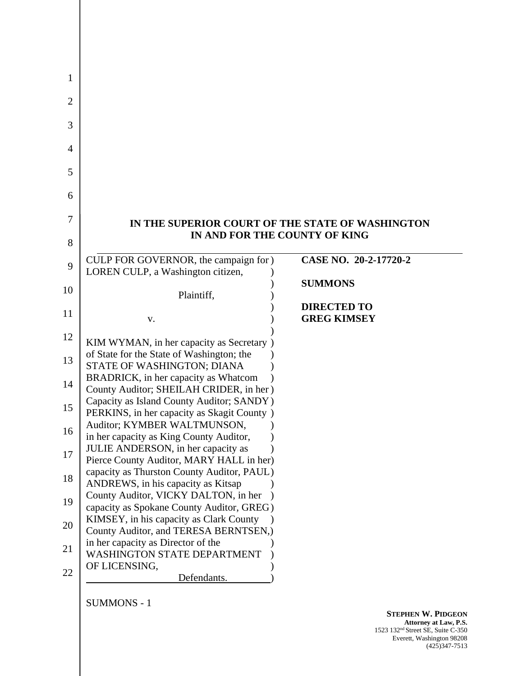| IN THE SUPERIOR COURT OF THE STATE OF WASHINGTON                                        | IN AND FOR THE COUNTY OF KING |
|-----------------------------------------------------------------------------------------|-------------------------------|
|                                                                                         |                               |
| CULP FOR GOVERNOR, the campaign for )                                                   | CASE NO. 20-2-17720-2         |
| LOREN CULP, a Washington citizen,                                                       |                               |
|                                                                                         | <b>SUMMONS</b>                |
| Plaintiff,                                                                              | <b>DIRECTED TO</b>            |
| v.                                                                                      | <b>GREG KIMSEY</b>            |
|                                                                                         |                               |
| KIM WYMAN, in her capacity as Secretary)                                                |                               |
| of State for the State of Washington; the                                               |                               |
| STATE OF WASHINGTON; DIANA                                                              |                               |
| BRADRICK, in her capacity as Whatcom                                                    |                               |
| County Auditor; SHEILAH CRIDER, in her)                                                 |                               |
| Capacity as Island County Auditor; SANDY)<br>PERKINS, in her capacity as Skagit County) |                               |
| Auditor; KYMBER WALTMUNSON,                                                             |                               |
| in her capacity as King County Auditor,                                                 |                               |
| JULIE ANDERSON, in her capacity as                                                      |                               |
| Pierce County Auditor, MARY HALL in her)                                                |                               |
| capacity as Thurston County Auditor, PAUL)                                              |                               |
| ANDREWS, in his capacity as Kitsap                                                      |                               |
| County Auditor, VICKY DALTON, in her                                                    |                               |
| capacity as Spokane County Auditor, GREG)<br>KIMSEY, in his capacity as Clark County    |                               |
| County Auditor, and TERESA BERNTSEN,)                                                   |                               |
| in her capacity as Director of the                                                      |                               |
| <b>WASHINGTON STATE DEPARTMENT</b>                                                      |                               |
|                                                                                         |                               |
| OF LICENSING,                                                                           |                               |

**STEPHEN W. PIDGEON Attorney at Law, P.S.** 1523 132nd Street SE, Suite C-350 Everett, Washington 98208 (425)347-7513